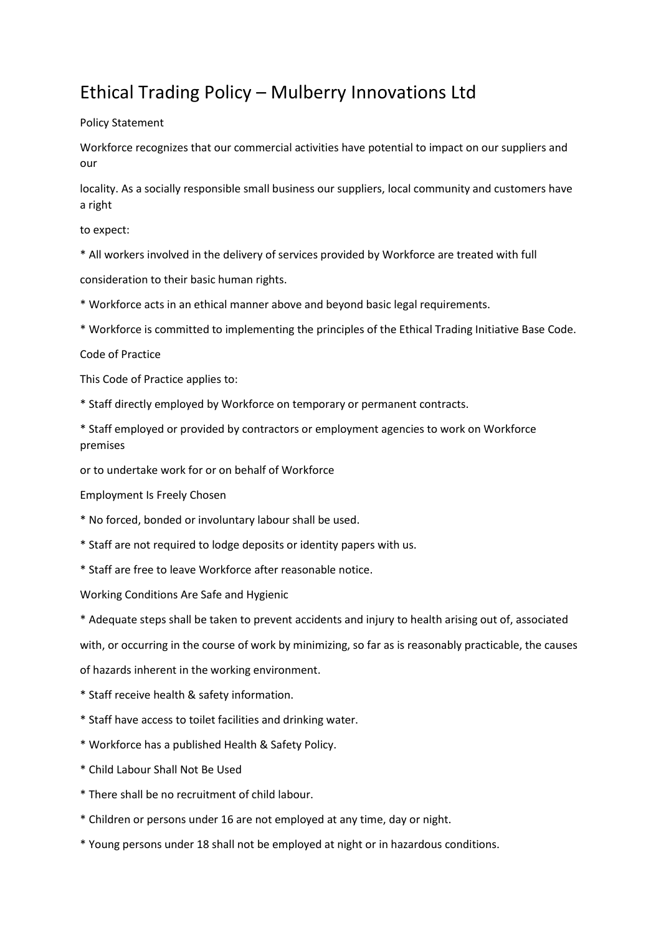## Ethical Trading Policy – Mulberry Innovations Ltd

## Policy Statement

Workforce recognizes that our commercial activities have potential to impact on our suppliers and our

locality. As a socially responsible small business our suppliers, local community and customers have a right

to expect:

\* All workers involved in the delivery of services provided by Workforce are treated with full

consideration to their basic human rights.

\* Workforce acts in an ethical manner above and beyond basic legal requirements.

\* Workforce is committed to implementing the principles of the Ethical Trading Initiative Base Code.

Code of Practice

This Code of Practice applies to:

\* Staff directly employed by Workforce on temporary or permanent contracts.

\* Staff employed or provided by contractors or employment agencies to work on Workforce premises

or to undertake work for or on behalf of Workforce

Employment Is Freely Chosen

- \* No forced, bonded or involuntary labour shall be used.
- \* Staff are not required to lodge deposits or identity papers with us.
- \* Staff are free to leave Workforce after reasonable notice.

Working Conditions Are Safe and Hygienic

\* Adequate steps shall be taken to prevent accidents and injury to health arising out of, associated

with, or occurring in the course of work by minimizing, so far as is reasonably practicable, the causes of hazards inherent in the working environment.

\* Staff receive health & safety information.

- \* Staff have access to toilet facilities and drinking water.
- \* Workforce has a published Health & Safety Policy.
- \* Child Labour Shall Not Be Used
- \* There shall be no recruitment of child labour.
- \* Children or persons under 16 are not employed at any time, day or night.
- \* Young persons under 18 shall not be employed at night or in hazardous conditions.